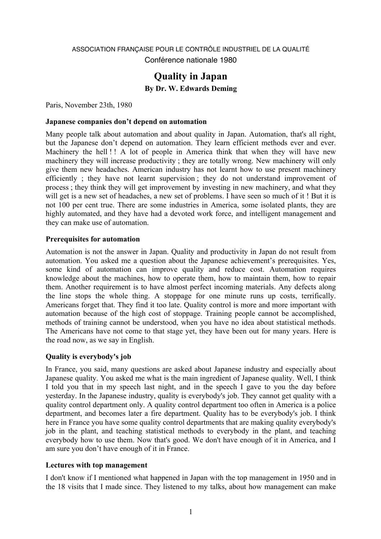# ASSOCIATION FRANÇAISE POUR LE CONTRÔLE INDUSTRIEL DE LA QUALITÉ Conférence nationale 1980

# **Quality in Japan By Dr. W. Edwards Deming**

Paris, November 23th, 1980

#### **Japanese companies don't depend on automation**

Many people talk about automation and about quality in Japan. Automation, that's all right, but the Japanese don't depend on automation. They learn efficient methods ever and ever. Machinery the hell!! A lot of people in America think that when they will have new machinery they will increase productivity ; they are totally wrong. New machinery will only give them new headaches. American industry has not learnt how to use present machinery efficiently ; they have not learnt supervision ; they do not understand improvement of process ; they think they will get improvement by investing in new machinery, and what they will get is a new set of headaches, a new set of problems. I have seen so much of it ! But it is not 100 per cent true. There are some industries in America, some isolated plants, they are highly automated, and they have had a devoted work force, and intelligent management and they can make use of automation.

#### **Prerequisites for automation**

Automation is not the answer in Japan. Quality and productivity in Japan do not result from automation. You asked me a question about the Japanese achievement's prerequisites. Yes, some kind of automation can improve quality and reduce cost. Automation requires knowledge about the machines, how to operate them, how to maintain them, how to repair them. Another requirement is to have almost perfect incoming materials. Any defects along the line stops the whole thing. A stoppage for one minute runs up costs, terrifically. Americans forget that. They find it too late. Quality control is more and more important with automation because of the high cost of stoppage. Training people cannot be accomplished, methods of training cannot be understood, when you have no idea about statistical methods. The Americans have not come to that stage yet, they have been out for many years. Here is the road now, as we say in English.

## **Quality is everybody's job**

In France, you said, many questions are asked about Japanese industry and especially about Japanese quality. You asked me what is the main ingredient of Japanese quality. Well, I think I told you that in my speech last night, and in the speech I gave to you the day before yesterday. In the Japanese industry, quality is everybody's job. They cannot get quality with a quality control department only. A quality control department too often in America is a police department, and becomes later a fire department. Quality has to be everybody's job. I think here in France you have some quality control departments that are making quality everybody's job in the plant, and teaching statistical methods to everybody in the plant, and teaching everybody how to use them. Now that's good. We don't have enough of it in America, and I am sure you don't have enough of it in France.

## **Lectures with top management**

I don't know if I mentioned what happened in Japan with the top management in 1950 and in the 18 visits that I made since. They listened to my talks, about how management can make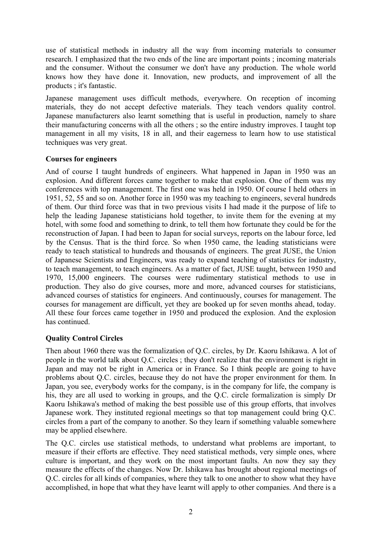use of statistical methods in industry all the way from incoming materials to consumer research. I emphasized that the two ends of the line are important points ; incoming materials and the consumer. Without the consumer we don't have any production. The whole world knows how they have done it. Innovation, new products, and improvement of all the products ; it's fantastic.

Japanese management uses difficult methods, everywhere. On reception of incoming materials, they do not accept defective materials. They teach vendors quality control. Japanese manufacturers also learnt something that is useful in production, namely to share their manufacturing concerns with all the others ; so the entire industry improves. I taught top management in all my visits, 18 in all, and their eagerness to learn how to use statistical techniques was very great.

## **Courses for engineers**

And of course I taught hundreds of engineers. What happened in Japan in 1950 was an explosion. And different forces came together to make that explosion. One of them was my conferences with top management. The first one was held in 1950. Of course I held others in 1951, 52, 55 and so on. Another force in 1950 was my teaching to engineers, several hundreds of them. Our third force was that in two previous visits I had made it the purpose of life to help the leading Japanese statisticians hold together, to invite them for the evening at my hotel, with some food and something to drink, to tell them how fortunate they could be for the reconstruction of Japan. I had been to Japan for social surveys, reports on the labour force, led by the Census. That is the third force. So when 1950 came, the leading statisticians were ready to teach statistical to hundreds and thousands of engineers. The great JUSE, the Union of Japanese Scientists and Engineers, was ready to expand teaching of statistics for industry, to teach management, to teach engineers. As a matter of fact, JUSE taught, between 1950 and 1970, 15,000 engineers. The courses were rudimentary statistical methods to use in production. They also do give courses, more and more, advanced courses for statisticians, advanced courses of statistics for engineers. And continuously, courses for management. The courses for management are difficult, yet they are booked up for seven months ahead, today. All these four forces came together in 1950 and produced the explosion. And the explosion has continued.

## **Quality Control Circles**

Then about 1960 there was the formalization of Q.C. circles, by Dr. Kaoru Ishikawa. A lot of people in the world talk about Q.C. circles ; they don't realize that the environment is right in Japan and may not be right in America or in France. So I think people are going to have problems about Q.C. circles, because they do not have the proper environment for them. In Japan, you see, everybody works for the company, is in the company for life, the company is his, they are all used to working in groups, and the Q.C. circle formalization is simply Dr Kaoru Ishikawa's method of making the best possible use of this group efforts, that involves Japanese work. They instituted regional meetings so that top management could bring Q.C. circles from a part of the company to another. So they learn if something valuable somewhere may be applied elsewhere.

The Q.C. circles use statistical methods, to understand what problems are important, to measure if their efforts are effective. They need statistical methods, very simple ones, where culture is important, and they work on the most important faults. An now they say they measure the effects of the changes. Now Dr. Ishikawa has brought about regional meetings of Q.C. circles for all kinds of companies, where they talk to one another to show what they have accomplished, in hope that what they have learnt will apply to other companies. And there is a